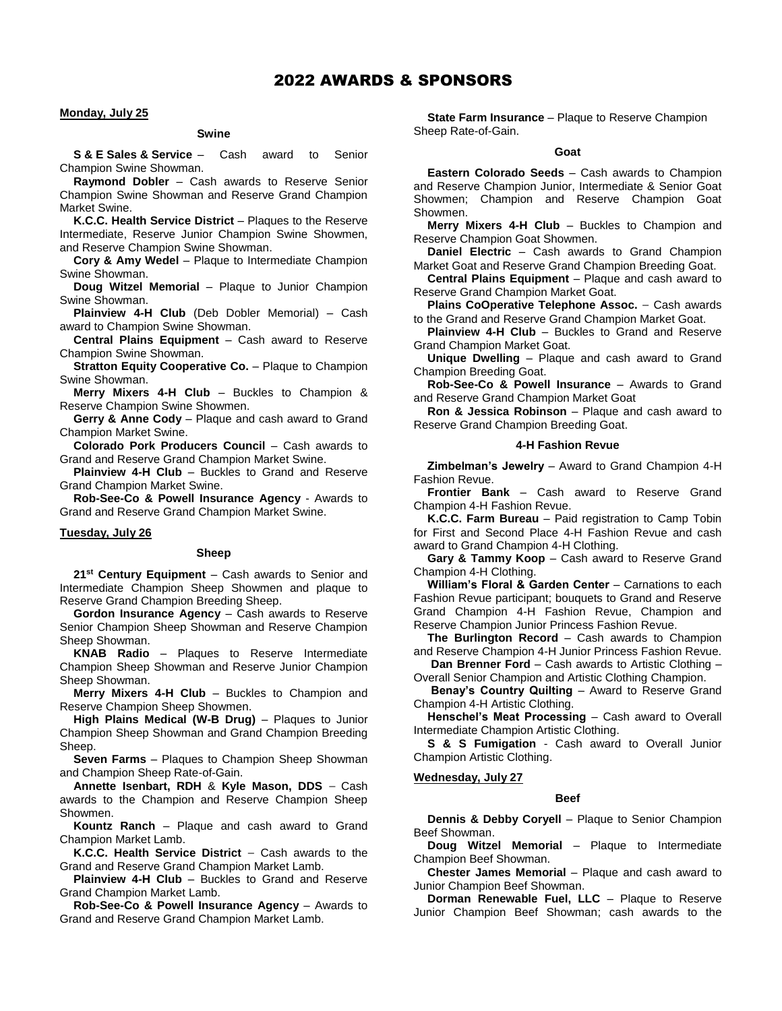# **Monday, July 25**

### **Swine**

**S & E Sales & Service** – Cash award to Senior Champion Swine Showman.

**Raymond Dobler** – Cash awards to Reserve Senior Champion Swine Showman and Reserve Grand Champion Market Swine.

**K.C.C. Health Service District** – Plaques to the Reserve Intermediate, Reserve Junior Champion Swine Showmen, and Reserve Champion Swine Showman.

**Cory & Amy Wedel** – Plaque to Intermediate Champion Swine Showman.

**Doug Witzel Memorial** – Plaque to Junior Champion Swine Showman.

**Plainview 4-H Club** (Deb Dobler Memorial) – Cash award to Champion Swine Showman.

**Central Plains Equipment** – Cash award to Reserve Champion Swine Showman.

**Stratton Equity Cooperative Co.** – Plaque to Champion Swine Showman.

**Merry Mixers 4-H Club** – Buckles to Champion & Reserve Champion Swine Showmen.

**Gerry & Anne Cody** – Plaque and cash award to Grand Champion Market Swine.

**Colorado Pork Producers Council** – Cash awards to Grand and Reserve Grand Champion Market Swine.

**Plainview 4-H Club** – Buckles to Grand and Reserve Grand Champion Market Swine.

**Rob-See-Co & Powell Insurance Agency** - Awards to Grand and Reserve Grand Champion Market Swine.

### **Tuesday, July 26**

# **Sheep**

**21st Century Equipment** – Cash awards to Senior and Intermediate Champion Sheep Showmen and plaque to Reserve Grand Champion Breeding Sheep.

**Gordon Insurance Agency** – Cash awards to Reserve Senior Champion Sheep Showman and Reserve Champion Sheep Showman.

**KNAB Radio** – Plaques to Reserve Intermediate Champion Sheep Showman and Reserve Junior Champion Sheep Showman.

**Merry Mixers 4-H Club** – Buckles to Champion and Reserve Champion Sheep Showmen.

**High Plains Medical (W-B Drug)** – Plaques to Junior Champion Sheep Showman and Grand Champion Breeding Sheep.

**Seven Farms** – Plaques to Champion Sheep Showman and Champion Sheep Rate-of-Gain.

**Annette Isenbart, RDH** & **Kyle Mason, DDS** — Cash awards to the Champion and Reserve Champion Sheep Showmen.

**Kountz Ranch** – Plaque and cash award to Grand Champion Market Lamb.

**K.C.C. Health Service District** — Cash awards to the Grand and Reserve Grand Champion Market Lamb.

**Plainview 4-H Club** – Buckles to Grand and Reserve Grand Champion Market Lamb.

**Rob-See-Co & Powell Insurance Agency** – Awards to Grand and Reserve Grand Champion Market Lamb.

**State Farm Insurance** – Plaque to Reserve Champion Sheep Rate-of-Gain.

### **Goat**

**Eastern Colorado Seeds** – Cash awards to Champion and Reserve Champion Junior, Intermediate & Senior Goat Showmen; Champion and Reserve Champion Goat Showmen.

**Merry Mixers 4-H Club** – Buckles to Champion and Reserve Champion Goat Showmen.

**Daniel Electric** – Cash awards to Grand Champion Market Goat and Reserve Grand Champion Breeding Goat.

**Central Plains Equipment** – Plaque and cash award to Reserve Grand Champion Market Goat.

**Plains CoOperative Telephone Assoc.** — Cash awards to the Grand and Reserve Grand Champion Market Goat.

**Plainview 4-H Club** – Buckles to Grand and Reserve Grand Champion Market Goat.

**Unique Dwelling** – Plaque and cash award to Grand Champion Breeding Goat.

**Rob-See-Co & Powell Insurance** – Awards to Grand and Reserve Grand Champion Market Goat

**Ron & Jessica Robinson** – Plaque and cash award to Reserve Grand Champion Breeding Goat.

# **4-H Fashion Revue**

**Zimbelman's Jewelry** – Award to Grand Champion 4-H Fashion Revue.

**Frontier Bank** – Cash award to Reserve Grand Champion 4-H Fashion Revue.

**K.C.C. Farm Bureau** – Paid registration to Camp Tobin for First and Second Place 4-H Fashion Revue and cash award to Grand Champion 4-H Clothing.

**Gary & Tammy Koop** – Cash award to Reserve Grand Champion 4-H Clothing.

**William's Floral & Garden Center** – Carnations to each Fashion Revue participant; bouquets to Grand and Reserve Grand Champion 4-H Fashion Revue, Champion and Reserve Champion Junior Princess Fashion Revue.

**The Burlington Record** – Cash awards to Champion and Reserve Champion 4-H Junior Princess Fashion Revue.

**Dan Brenner Ford** – Cash awards to Artistic Clothing – Overall Senior Champion and Artistic Clothing Champion.

**Benay's Country Quilting** – Award to Reserve Grand Champion 4-H Artistic Clothing.

**Henschel's Meat Processing** – Cash award to Overall Intermediate Champion Artistic Clothing.

**S & S Fumigation** - Cash award to Overall Junior Champion Artistic Clothing.

### **Wednesday, July 27**

## **Beef**

**Dennis & Debby Coryell** – Plaque to Senior Champion Beef Showman.

**Doug Witzel Memorial** – Plaque to Intermediate Champion Beef Showman.

**Chester James Memorial** – Plaque and cash award to Junior Champion Beef Showman.

**Dorman Renewable Fuel, LLC** – Plaque to Reserve Junior Champion Beef Showman; cash awards to the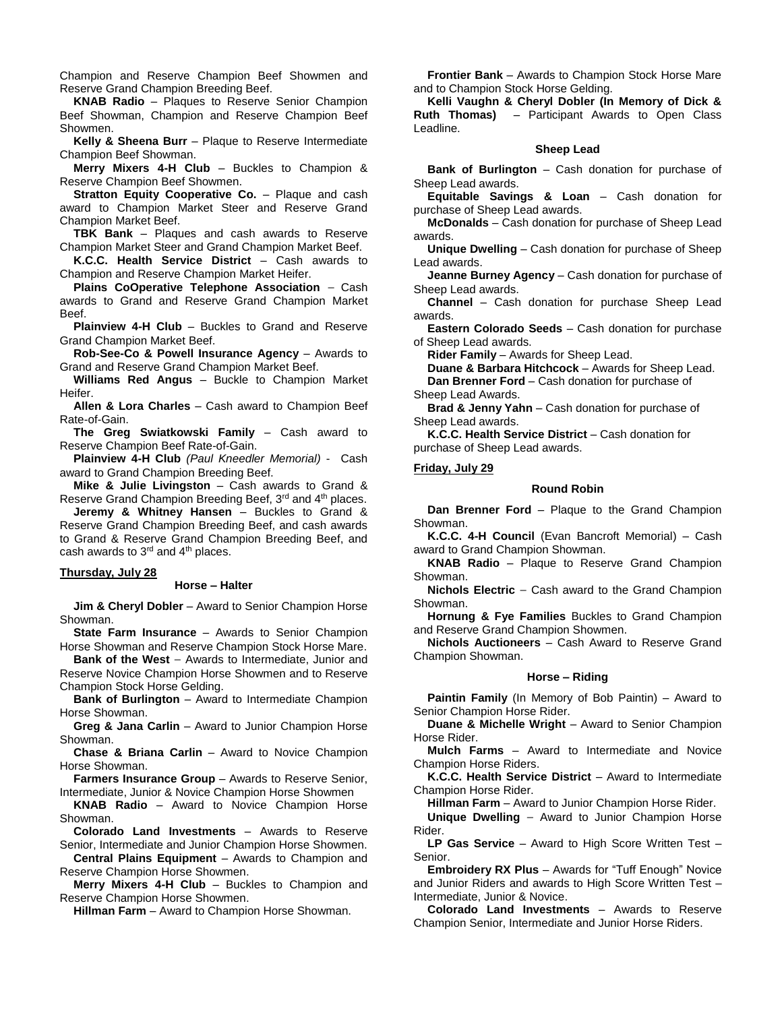Champion and Reserve Champion Beef Showmen and Reserve Grand Champion Breeding Beef.

**KNAB Radio** – Plaques to Reserve Senior Champion Beef Showman, Champion and Reserve Champion Beef Showmen.

**Kelly & Sheena Burr** – Plaque to Reserve Intermediate Champion Beef Showman.

**Merry Mixers 4-H Club** – Buckles to Champion & Reserve Champion Beef Showmen.

**Stratton Equity Cooperative Co.** – Plaque and cash award to Champion Market Steer and Reserve Grand Champion Market Beef.

**TBK Bank** – Plaques and cash awards to Reserve Champion Market Steer and Grand Champion Market Beef.

**K.C.C. Health Service District** – Cash awards to Champion and Reserve Champion Market Heifer.

**Plains CoOperative Telephone Association** — Cash awards to Grand and Reserve Grand Champion Market Beef.

**Plainview 4-H Club** – Buckles to Grand and Reserve Grand Champion Market Beef.

**Rob-See-Co & Powell Insurance Agency** – Awards to Grand and Reserve Grand Champion Market Beef.

**Williams Red Angus** – Buckle to Champion Market Heifer.

**Allen & Lora Charles** – Cash award to Champion Beef Rate-of-Gain.

**The Greg Swiatkowski Family** – Cash award to Reserve Champion Beef Rate-of-Gain.

**Plainview 4-H Club** *(Paul Kneedler Memorial)* - Cash award to Grand Champion Breeding Beef.

**Mike & Julie Livingston** – Cash awards to Grand & Reserve Grand Champion Breeding Beef, 3rd and 4th places.

**Jeremy & Whitney Hansen** – Buckles to Grand & Reserve Grand Champion Breeding Beef, and cash awards to Grand & Reserve Grand Champion Breeding Beef, and cash awards to  $3<sup>rd</sup>$  and  $4<sup>th</sup>$  places.

## **Thursday, July 28**

#### **Horse – Halter**

**Jim & Cheryl Dobler** – Award to Senior Champion Horse Showman.

**State Farm Insurance** – Awards to Senior Champion Horse Showman and Reserve Champion Stock Horse Mare.

**Bank of the West** — Awards to Intermediate, Junior and Reserve Novice Champion Horse Showmen and to Reserve Champion Stock Horse Gelding.

**Bank of Burlington** – Award to Intermediate Champion Horse Showman.

**Greg & Jana Carlin** – Award to Junior Champion Horse Showman.

**Chase & Briana Carlin** – Award to Novice Champion Horse Showman.

**Farmers Insurance Group** – Awards to Reserve Senior, Intermediate, Junior & Novice Champion Horse Showmen

**KNAB Radio** – Award to Novice Champion Horse Showman.

**Colorado Land Investments** – Awards to Reserve Senior, Intermediate and Junior Champion Horse Showmen.

**Central Plains Equipment** – Awards to Champion and Reserve Champion Horse Showmen.

**Merry Mixers 4-H Club** – Buckles to Champion and Reserve Champion Horse Showmen.

**Hillman Farm** – Award to Champion Horse Showman.

**Frontier Bank** – Awards to Champion Stock Horse Mare and to Champion Stock Horse Gelding.

**Kelli Vaughn & Cheryl Dobler (In Memory of Dick & Ruth Thomas)** – Participant Awards to Open Class Leadline.

# **Sheep Lead**

**Bank of Burlington** – Cash donation for purchase of Sheep Lead awards.

**Equitable Savings & Loan** – Cash donation for purchase of Sheep Lead awards.

**McDonalds** – Cash donation for purchase of Sheep Lead awards.

**Unique Dwelling** – Cash donation for purchase of Sheep Lead awards.

**Jeanne Burney Agency** – Cash donation for purchase of Sheep Lead awards.

**Channel** – Cash donation for purchase Sheep Lead awards.

**Eastern Colorado Seeds** – Cash donation for purchase of Sheep Lead awards.

**Rider Family** – Awards for Sheep Lead.

**Duane & Barbara Hitchcock** – Awards for Sheep Lead.

**Dan Brenner Ford** – Cash donation for purchase of Sheep Lead Awards.

**Brad & Jenny Yahn** – Cash donation for purchase of Sheep Lead awards.

**K.C.C. Health Service District** – Cash donation for purchase of Sheep Lead awards.

### **Friday, July 29**

## **Round Robin**

**Dan Brenner Ford** – Plaque to the Grand Champion Showman.

**K.C.C. 4-H Council** (Evan Bancroft Memorial) – Cash award to Grand Champion Showman.

**KNAB Radio** – Plaque to Reserve Grand Champion Showman.

**Nichols Electric** — Cash award to the Grand Champion Showman.

**Hornung & Fye Families** Buckles to Grand Champion and Reserve Grand Champion Showmen.

**Nichols Auctioneers** – Cash Award to Reserve Grand Champion Showman.

### **Horse – Riding**

**Paintin Family** (In Memory of Bob Paintin) – Award to Senior Champion Horse Rider.

**Duane & Michelle Wright** – Award to Senior Champion Horse Rider.

**Mulch Farms** – Award to Intermediate and Novice Champion Horse Riders.

K.C.C. Health Service District - Award to Intermediate Champion Horse Rider.

**Hillman Farm** – Award to Junior Champion Horse Rider.

**Unique Dwelling** — Award to Junior Champion Horse Rider.

**LP Gas Service** – Award to High Score Written Test – Senior.

**Embroidery RX Plus** – Awards for "Tuff Enough" Novice and Junior Riders and awards to High Score Written Test – Intermediate, Junior & Novice.

**Colorado Land Investments** – Awards to Reserve Champion Senior, Intermediate and Junior Horse Riders.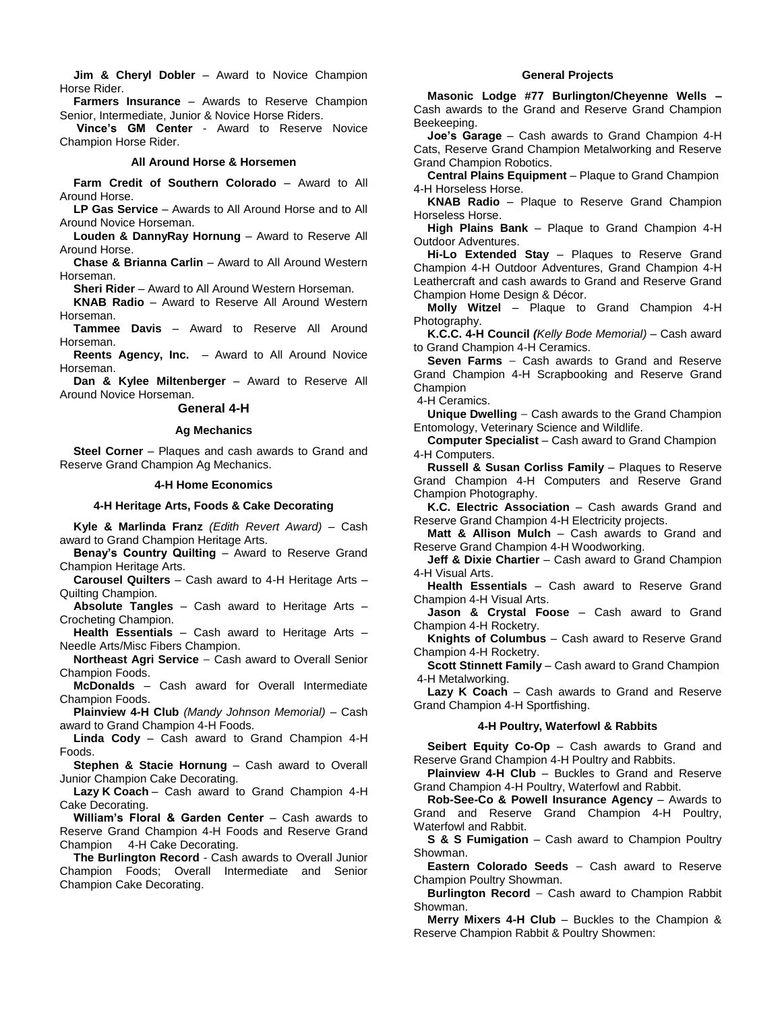**Jim & Cheryl Dobler** – Award to Novice Champion Horse Rider.

**Farmers Insurance** – Awards to Reserve Champion Senior, Intermediate, Junior & Novice Horse Riders.

**Vince's GM Center** - Award to Reserve Novice Champion Horse Rider.

# **All Around Horse & Horsemen**

**Farm Credit of Southern Colorado** – Award to All Around Horse.

**LP Gas Service** – Awards to All Around Horse and to All Around Novice Horseman.

**Louden & DannyRay Hornung** – Award to Reserve All Around Horse.

**Chase & Brianna Carlin** – Award to All Around Western Horseman.

**Sheri Rider** – Award to All Around Western Horseman.

**KNAB Radio** – Award to Reserve All Around Western Horseman.

**Tammee Davis** – Award to Reserve All Around Horseman.

**Reents Agency, Inc.** – Award to All Around Novice Horseman.

**Dan & Kylee Miltenberger** – Award to Reserve All Around Novice Horseman.

**General 4-H**

### **Ag Mechanics**

**Steel Corner** – Plaques and cash awards to Grand and Reserve Grand Champion Ag Mechanics.

## **4-H Home Economics**

# **4-H Heritage Arts, Foods & Cake Decorating**

**Kyle & Marlinda Franz** *(Edith Revert Award)* – Cash award to Grand Champion Heritage Arts.

**Benay's Country Quilting** – Award to Reserve Grand Champion Heritage Arts.

**Carousel Quilters** – Cash award to 4-H Heritage Arts – Quilting Champion.

**Absolute Tangles** – Cash award to Heritage Arts – Crocheting Champion.

**Health Essentials** – Cash award to Heritage Arts – Needle Arts/Misc Fibers Champion.

**Northeast Agri Service** — Cash award to Overall Senior Champion Foods.

**McDonalds** – Cash award for Overall Intermediate Champion Foods.

**Plainview 4-H Club** *(Mandy Johnson Memorial)* – Cash award to Grand Champion 4-H Foods.

**Linda Cody** – Cash award to Grand Champion 4-H Foods.

**Stephen & Stacie Hornung** – Cash award to Overall Junior Champion Cake Decorating.

**Lazy K Coach** – Cash award to Grand Champion 4-H Cake Decorating.

**William's Floral & Garden Center** – Cash awards to Reserve Grand Champion 4-H Foods and Reserve Grand Champion 4-H Cake Decorating.

**The Burlington Record** - Cash awards to Overall Junior Champion Foods; Overall Intermediate and Senior Champion Cake Decorating.

# **General Projects**

**Masonic Lodge #77 Burlington/Cheyenne Wells –** Cash awards to the Grand and Reserve Grand Champion Beekeeping.

**Joe's Garage** – Cash awards to Grand Champion 4-H Cats, Reserve Grand Champion Metalworking and Reserve Grand Champion Robotics.

**Central Plains Equipment** – Plaque to Grand Champion 4-H Horseless Horse.

**KNAB Radio** – Plaque to Reserve Grand Champion Horseless Horse.

**High Plains Bank** – Plaque to Grand Champion 4-H Outdoor Adventures.

**Hi-Lo Extended Stay** – Plaques to Reserve Grand Champion 4-H Outdoor Adventures, Grand Champion 4-H Leathercraft and cash awards to Grand and Reserve Grand Champion Home Design & Décor.

**Molly Witzel** – Plaque to Grand Champion 4-H Photography.

**K.C.C. 4-H Council** *(Kelly Bode Memorial)* – Cash award to Grand Champion 4-H Ceramics.

**Seven Farms** — Cash awards to Grand and Reserve Grand Champion 4-H Scrapbooking and Reserve Grand Champion

4-H Ceramics.

**Unique Dwelling** — Cash awards to the Grand Champion Entomology, Veterinary Science and Wildlife.

**Computer Specialist** – Cash award to Grand Champion 4-H Computers.

**Russell & Susan Corliss Family** – Plaques to Reserve Grand Champion 4-H Computers and Reserve Grand Champion Photography.

**K.C. Electric Association** – Cash awards Grand and Reserve Grand Champion 4-H Electricity projects.

**Matt & Allison Mulch** – Cash awards to Grand and Reserve Grand Champion 4-H Woodworking.

**Jeff & Dixie Chartier** – Cash award to Grand Champion 4-H Visual Arts.

**Health Essentials** – Cash award to Reserve Grand Champion 4-H Visual Arts.

**Jason & Crystal Foose** – Cash award to Grand Champion 4-H Rocketry.

**Knights of Columbus** – Cash award to Reserve Grand Champion 4-H Rocketry.

**Scott Stinnett Family** – Cash award to Grand Champion 4-H Metalworking.

**Lazy K Coach** – Cash awards to Grand and Reserve Grand Champion 4-H Sportfishing.

### **4-H Poultry, Waterfowl & Rabbits**

**Seibert Equity Co-Op** – Cash awards to Grand and Reserve Grand Champion 4-H Poultry and Rabbits.

**Plainview 4-H Club** – Buckles to Grand and Reserve Grand Champion 4-H Poultry, Waterfowl and Rabbit.

**Rob-See-Co & Powell Insurance Agency** – Awards to Grand and Reserve Grand Champion 4-H Poultry, Waterfowl and Rabbit.

**S & S Fumigation** – Cash award to Champion Poultry Showman.

**Eastern Colorado Seeds** — Cash award to Reserve Champion Poultry Showman.

**Burlington Record** — Cash award to Champion Rabbit Showman.

**Merry Mixers 4-H Club** – Buckles to the Champion & Reserve Champion Rabbit & Poultry Showmen: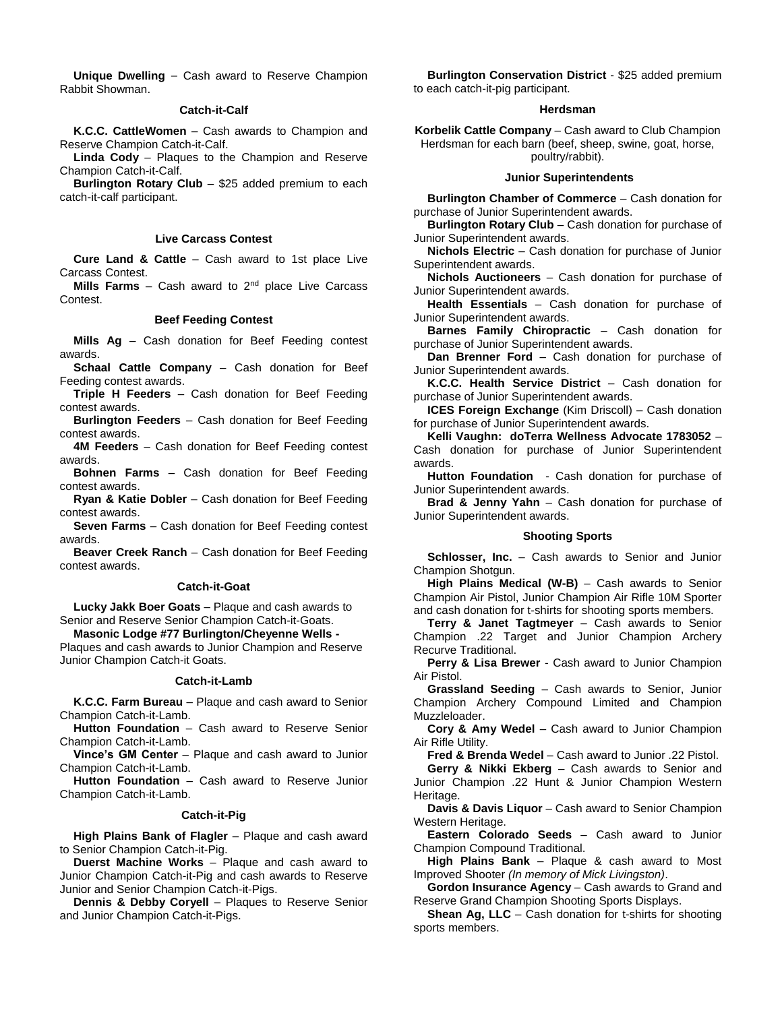**Unique Dwelling** — Cash award to Reserve Champion Rabbit Showman.

# **Catch-it-Calf**

**K.C.C. CattleWomen** – Cash awards to Champion and Reserve Champion Catch-it-Calf.

**Linda Cody** – Plaques to the Champion and Reserve Champion Catch-it-Calf.

**Burlington Rotary Club** – \$25 added premium to each catch-it-calf participant.

### **Live Carcass Contest**

**Cure Land & Cattle** – Cash award to 1st place Live Carcass Contest.

**Mills Farms** – Cash award to 2<sup>nd</sup> place Live Carcass Contest.

### **Beef Feeding Contest**

**Mills Ag** – Cash donation for Beef Feeding contest awards.

**Schaal Cattle Company** – Cash donation for Beef Feeding contest awards.

**Triple H Feeders** – Cash donation for Beef Feeding contest awards.

**Burlington Feeders** – Cash donation for Beef Feeding contest awards.

**4M Feeders** – Cash donation for Beef Feeding contest awards.

**Bohnen Farms** – Cash donation for Beef Feeding contest awards.

**Ryan & Katie Dobler** – Cash donation for Beef Feeding contest awards.

**Seven Farms** – Cash donation for Beef Feeding contest awards.

**Beaver Creek Ranch** – Cash donation for Beef Feeding contest awards.

### **Catch-it-Goat**

**Lucky Jakk Boer Goats** – Plaque and cash awards to Senior and Reserve Senior Champion Catch-it-Goats.

**Masonic Lodge #77 Burlington/Cheyenne Wells -** Plaques and cash awards to Junior Champion and Reserve Junior Champion Catch-it Goats.

#### **Catch-it-Lamb**

**K.C.C. Farm Bureau** – Plaque and cash award to Senior Champion Catch-it-Lamb.

**Hutton Foundation** – Cash award to Reserve Senior Champion Catch-it-Lamb.

**Vince's GM Center** – Plaque and cash award to Junior Champion Catch-it-Lamb.

**Hutton Foundation** – Cash award to Reserve Junior Champion Catch-it-Lamb.

# **Catch-it-Pig**

**High Plains Bank of Flagler** – Plaque and cash award to Senior Champion Catch-it-Pig.

**Duerst Machine Works** – Plaque and cash award to Junior Champion Catch-it-Pig and cash awards to Reserve Junior and Senior Champion Catch-it-Pigs.

**Dennis & Debby Coryell** – Plaques to Reserve Senior and Junior Champion Catch-it-Pigs.

**Burlington Conservation District** - \$25 added premium to each catch-it-pig participant.

### **Herdsman**

**Korbelik Cattle Company** – Cash award to Club Champion Herdsman for each barn (beef, sheep, swine, goat, horse, poultry/rabbit).

#### **Junior Superintendents**

**Burlington Chamber of Commerce** – Cash donation for purchase of Junior Superintendent awards.

**Burlington Rotary Club** – Cash donation for purchase of Junior Superintendent awards.

**Nichols Electric** – Cash donation for purchase of Junior Superintendent awards.

**Nichols Auctioneers** – Cash donation for purchase of Junior Superintendent awards.

**Health Essentials** – Cash donation for purchase of Junior Superintendent awards.

**Barnes Family Chiropractic** – Cash donation for purchase of Junior Superintendent awards.

**Dan Brenner Ford** – Cash donation for purchase of Junior Superintendent awards.

**K.C.C. Health Service District** – Cash donation for purchase of Junior Superintendent awards.

**ICES Foreign Exchange** (Kim Driscoll) – Cash donation for purchase of Junior Superintendent awards.

**Kelli Vaughn: doTerra Wellness Advocate 1783052** – Cash donation for purchase of Junior Superintendent awards.

**Hutton Foundation** - Cash donation for purchase of Junior Superintendent awards.

**Brad & Jenny Yahn** – Cash donation for purchase of Junior Superintendent awards.

## **Shooting Sports**

**Schlosser, Inc.** – Cash awards to Senior and Junior Champion Shotgun.

**High Plains Medical (W-B)** – Cash awards to Senior Champion Air Pistol, Junior Champion Air Rifle 10M Sporter and cash donation for t-shirts for shooting sports members.

**Terry & Janet Tagtmeyer** – Cash awards to Senior Champion .22 Target and Junior Champion Archery Recurve Traditional.

**Perry & Lisa Brewer** - Cash award to Junior Champion Air Pistol.

**Grassland Seeding** – Cash awards to Senior, Junior Champion Archery Compound Limited and Champion Muzzleloader.

**Cory & Amy Wedel** – Cash award to Junior Champion Air Rifle Utility.

**Fred & Brenda Wedel** – Cash award to Junior .22 Pistol.

**Gerry & Nikki Ekberg** – Cash awards to Senior and Junior Champion .22 Hunt & Junior Champion Western Heritage.

**Davis & Davis Liquor** – Cash award to Senior Champion Western Heritage.

**Eastern Colorado Seeds** – Cash award to Junior Champion Compound Traditional.

**High Plains Bank** – Plaque & cash award to Most Improved Shooter *(In memory of Mick Livingston)*.

**Gordon Insurance Agency** – Cash awards to Grand and Reserve Grand Champion Shooting Sports Displays.

**Shean Ag, LLC** – Cash donation for t-shirts for shooting sports members.